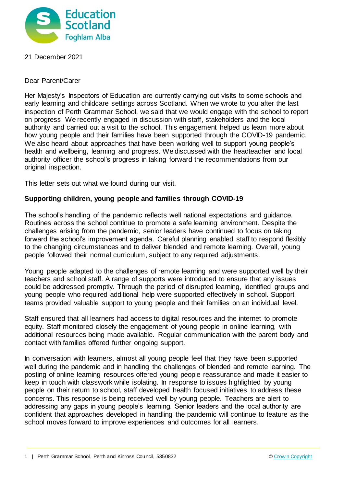

# 21 December 2021

## Dear Parent/Carer

Her Majesty's Inspectors of Education are currently carrying out visits to some schools and early learning and childcare settings across Scotland. When we wrote to you after the last inspection of Perth Grammar School, we said that we would engage with the school to report on progress. We recently engaged in discussion with staff, stakeholders and the local authority and carried out a visit to the school. This engagement helped us learn more about how young people and their families have been supported through the COVID-19 pandemic. We also heard about approaches that have been working well to support young people's health and wellbeing, learning and progress. We discussed with the headteacher and local authority officer the school's progress in taking forward the recommendations from our original inspection.

This letter sets out what we found during our visit.

# **Supporting children, young people and families through COVID-19**

The school's handling of the pandemic reflects well national expectations and guidance. Routines across the school continue to promote a safe learning environment. Despite the challenges arising from the pandemic, senior leaders have continued to focus on taking forward the school's improvement agenda. Careful planning enabled staff to respond flexibly to the changing circumstances and to deliver blended and remote learning. Overall, young people followed their normal curriculum, subject to any required adjustments.

Young people adapted to the challenges of remote learning and were supported well by their teachers and school staff. A range of supports were introduced to ensure that any issues could be addressed promptly. Through the period of disrupted learning, identified groups and young people who required additional help were supported effectively in school. Support teams provided valuable support to young people and their families on an individual level.

Staff ensured that all learners had access to digital resources and the internet to promote equity. Staff monitored closely the engagement of young people in online learning, with additional resources being made available. Regular communication with the parent body and contact with families offered further ongoing support.

In conversation with learners, almost all young people feel that they have been supported well during the pandemic and in handling the challenges of blended and remote learning. The posting of online learning resources offered young people reassurance and made it easier to keep in touch with classwork while isolating. In response to issues highlighted by young people on their return to school, staff developed health focused initiatives to address these concerns. This response is being received well by young people. Teachers are alert to addressing any gaps in young people's learning. Senior leaders and the local authority are confident that approaches developed in handling the pandemic will continue to feature as the school moves forward to improve experiences and outcomes for all learners.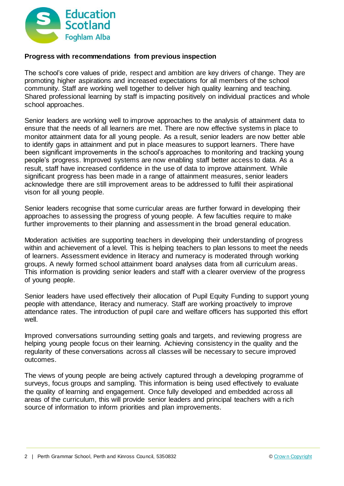

## **Progress with recommendations from previous inspection**

The school's core values of pride, respect and ambition are key drivers of change. They are promoting higher aspirations and increased expectations for all members of the school community. Staff are working well together to deliver high quality learning and teaching. Shared professional learning by staff is impacting positively on individual practices and whole school approaches.

Senior leaders are working well to improve approaches to the analysis of attainment data to ensure that the needs of all learners are met. There are now effective systems in place to monitor attainment data for all young people. As a result, senior leaders are now better able to identify gaps in attainment and put in place measures to support learners. There have been significant improvements in the school's approaches to monitoring and tracking young people's progress. Improved systems are now enabling staff better access to data. As a result, staff have increased confidence in the use of data to improve attainment. While significant progress has been made in a range of attainment measures, senior leaders acknowledge there are still improvement areas to be addressed to fulfil their aspirational vison for all young people.

Senior leaders recognise that some curricular areas are further forward in developing their approaches to assessing the progress of young people. A few faculties require to make further improvements to their planning and assessment in the broad general education.

Moderation activities are supporting teachers in developing their understanding of progress within and achievement of a level. This is helping teachers to plan lessons to meet the needs of learners. Assessment evidence in literacy and numeracy is moderated through working groups. A newly formed school attainment board analyses data from all curriculum areas. This information is providing senior leaders and staff with a clearer overview of the progress of young people.

Senior leaders have used effectively their allocation of Pupil Equity Funding to support young people with attendance, literacy and numeracy. Staff are working proactively to improve attendance rates. The introduction of pupil care and welfare officers has supported this effort well.

Improved conversations surrounding setting goals and targets, and reviewing progress are helping young people focus on their learning. Achieving consistency in the quality and the regularity of these conversations across all classes will be necessary to secure improved outcomes.

The views of young people are being actively captured through a developing programme of surveys, focus groups and sampling. This information is being used effectively to evaluate the quality of learning and engagement. Once fully developed and embedded across all areas of the curriculum, this will provide senior leaders and principal teachers with a rich source of information to inform priorities and plan improvements.